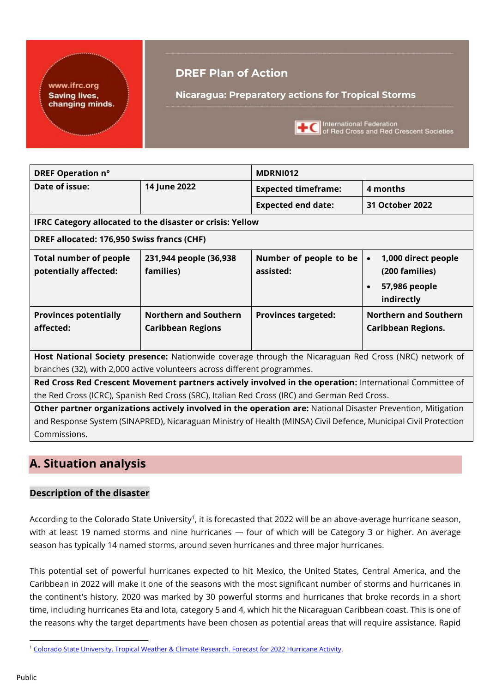#### www.ifrc.org **Saving lives,** changing minds.

## **DREF Plan of Action**

**Nicaragua: Preparatory actions for Tropical Storms**



**THE International Federation**<br>of Red Cross and Red Crescent Societies

| DREF Operation n°                                         |                                                                          | MDRNI012                                                                                                        |                                                                                                |  |  |  |  |  |  |  |  |  |  |  |
|-----------------------------------------------------------|--------------------------------------------------------------------------|-----------------------------------------------------------------------------------------------------------------|------------------------------------------------------------------------------------------------|--|--|--|--|--|--|--|--|--|--|--|
| Date of issue:                                            | 14 June 2022                                                             | <b>Expected timeframe:</b>                                                                                      | 4 months                                                                                       |  |  |  |  |  |  |  |  |  |  |  |
|                                                           |                                                                          | <b>Expected end date:</b>                                                                                       | <b>31 October 2022</b>                                                                         |  |  |  |  |  |  |  |  |  |  |  |
| IFRC Category allocated to the disaster or crisis: Yellow |                                                                          |                                                                                                                 |                                                                                                |  |  |  |  |  |  |  |  |  |  |  |
| DREF allocated: 176,950 Swiss francs (CHF)                |                                                                          |                                                                                                                 |                                                                                                |  |  |  |  |  |  |  |  |  |  |  |
| <b>Total number of people</b><br>potentially affected:    | 231,944 people (36,938<br>families)                                      | Number of people to be<br>assisted:                                                                             | 1,000 direct people<br>$\bullet$<br>(200 families)<br>57,986 people<br>$\bullet$<br>indirectly |  |  |  |  |  |  |  |  |  |  |  |
| <b>Provinces potentially</b>                              | <b>Northern and Southern</b>                                             | <b>Provinces targeted:</b>                                                                                      | <b>Northern and Southern</b>                                                                   |  |  |  |  |  |  |  |  |  |  |  |
| affected:                                                 | <b>Caribbean Regions</b>                                                 |                                                                                                                 | <b>Caribbean Regions.</b>                                                                      |  |  |  |  |  |  |  |  |  |  |  |
|                                                           |                                                                          | Host National Society presence: Nationwide coverage through the Nicaraguan Red Cross (NRC) network of           |                                                                                                |  |  |  |  |  |  |  |  |  |  |  |
|                                                           | branches (32), with 2,000 active volunteers across different programmes. |                                                                                                                 |                                                                                                |  |  |  |  |  |  |  |  |  |  |  |
|                                                           |                                                                          | Red Cross Red Crescent Movement partners actively involved in the operation: International Committee of         |                                                                                                |  |  |  |  |  |  |  |  |  |  |  |
|                                                           |                                                                          | the Red Cross (ICRC), Spanish Red Cross (SRC), Italian Red Cross (IRC) and German Red Cross.                    |                                                                                                |  |  |  |  |  |  |  |  |  |  |  |
|                                                           |                                                                          | Other partner organizations actively involved in the operation are: National Disaster Prevention, Mitigation    |                                                                                                |  |  |  |  |  |  |  |  |  |  |  |
|                                                           |                                                                          | and Response System (SINAPRED), Nicaraguan Ministry of Health (MINSA) Civil Defence, Municipal Civil Protection |                                                                                                |  |  |  |  |  |  |  |  |  |  |  |
| Commissions.                                              |                                                                          |                                                                                                                 |                                                                                                |  |  |  |  |  |  |  |  |  |  |  |

## **A. Situation analysis**

#### **Description of the disaster**

According to the Colorado State University<sup>1</sup>, it is forecasted that 2022 will be an above-average hurricane season, with at least 19 named storms and nine hurricanes — four of which will be Category 3 or higher. An average season has typically 14 named storms, around seven hurricanes and three major hurricanes.

This potential set of powerful hurricanes expected to hit Mexico, the United States, Central America, and the Caribbean in 2022 will make it one of the seasons with the most significant number of storms and hurricanes in the continent's history. 2020 was marked by 30 powerful storms and hurricanes that broke records in a short time, including hurricanes Eta and Iota, category 5 and 4, which hit the Nicaraguan Caribbean coast. This is one of the reasons why the target departments have been chosen as potential areas that will require assistance. Rapid

<sup>1</sup> [Colorado State University. Tropical Weather & Climate Research. Forecast for 2022 Hurricane Activity.](https://tropical.colostate.edu/forecasting.html)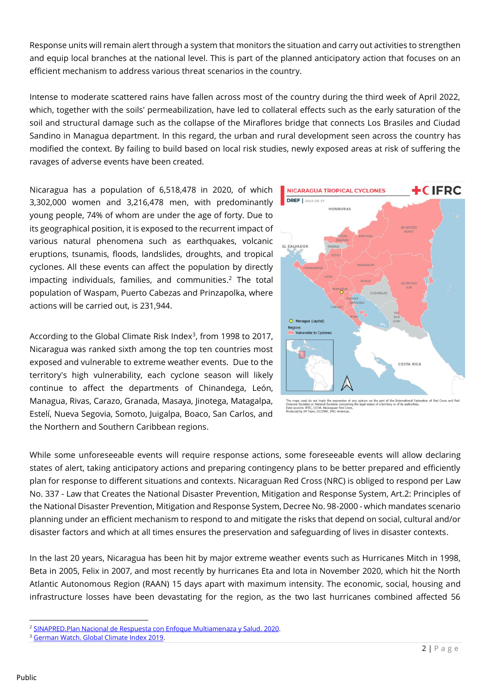Response units will remain alert through a system that monitors the situation and carry out activities to strengthen and equip local branches at the national level. This is part of the planned anticipatory action that focuses on an efficient mechanism to address various threat scenarios in the country.

Intense to moderate scattered rains have fallen across most of the country during the third week of April 2022, which, together with the soils' permeabilization, have led to collateral effects such as the early saturation of the soil and structural damage such as the collapse of the Miraflores bridge that connects Los Brasiles and Ciudad Sandino in Managua department. In this regard, the urban and rural development seen across the country has modified the context. By failing to build based on local risk studies, newly exposed areas at risk of suffering the ravages of adverse events have been created.

Nicaragua has a population of 6,518,478 in 2020, of which 3,302,000 women and 3,216,478 men, with predominantly young people, 74% of whom are under the age of forty. Due to its geographical position, it is exposed to the recurrent impact of various natural phenomena such as earthquakes, volcanic eruptions, tsunamis, floods, landslides, droughts, and tropical cyclones. All these events can affect the population by directly impacting individuals, families, and communities. <sup>2</sup> The total population of Waspam, Puerto Cabezas and Prinzapolka, where actions will be carried out, is 231,944.

According to the Global Climate Risk Index<sup>3</sup>, from 1998 to 2017, Nicaragua was ranked sixth among the top ten countries most exposed and vulnerable to extreme weather events. Due to the territory's high vulnerability, each cyclone season will likely continue to affect the departments of Chinandega, León, Managua, Rivas, Carazo, Granada, Masaya, Jinotega, Matagalpa, Estelí, Nueva Segovia, Somoto, Juigalpa, Boaco, San Carlos, and the Northern and Southern Caribbean regions.



Red Cros : IFRC, OCHA, Nicaraguan<br>IM Team, DCCPRR, IFRC A ource:<br>:ed by

While some unforeseeable events will require response actions, some foreseeable events will allow declaring states of alert, taking anticipatory actions and preparing contingency plans to be better prepared and efficiently plan for response to different situations and contexts. Nicaraguan Red Cross (NRC) is obliged to respond per Law No. 337 - Law that Creates the National Disaster Prevention, Mitigation and Response System, Art.2: Principles of the National Disaster Prevention, Mitigation and Response System, Decree No. 98-2000 - which mandates scenario planning under an efficient mechanism to respond to and mitigate the risks that depend on social, cultural and/or disaster factors and which at all times ensures the preservation and safeguarding of lives in disaster contexts.

In the last 20 years, Nicaragua has been hit by major extreme weather events such as Hurricanes Mitch in 1998, Beta in 2005, Felix in 2007, and most recently by hurricanes Eta and Iota in November 2020, which hit the North Atlantic Autonomous Region (RAAN) 15 days apart with maximum intensity. The economic, social, housing and infrastructure losses have been devastating for the region, as the two last hurricanes combined affected 56

<sup>2</sup> [SINAPRED.Plan Nacional de Respuesta con Enfoque Multiamenaza y Salud. 2020.](https://www.sinapred.gob.ni/images/aprendamos_de_prevencion/Plan_Nacional_de_Respuesta_con_Enfoque_Multiamenaza_Nicaragua_2020.pdf)

<sup>3</sup> [German Watch. Global Climate Index 2019.](https://www.germanwatch.org/sites/default/files/Global%20Climate%20Risk%20Index%202019_2.pdf)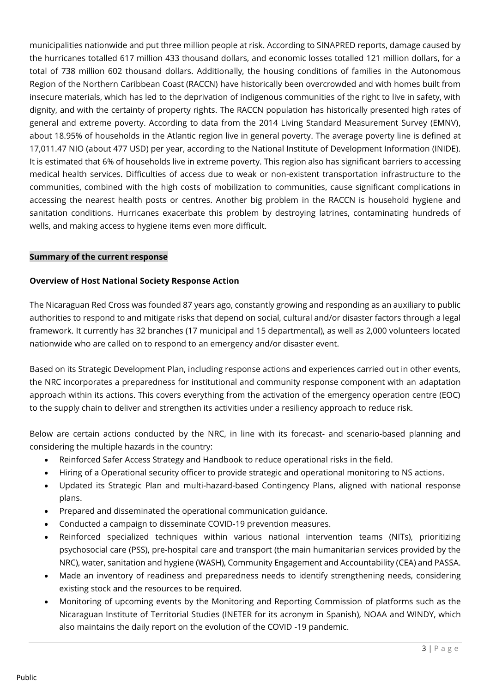municipalities nationwide and put three million people at risk. According to SINAPRED reports, damage caused by the hurricanes totalled 617 million 433 thousand dollars, and economic losses totalled 121 million dollars, for a total of 738 million 602 thousand dollars. Additionally, the housing conditions of families in the Autonomous Region of the Northern Caribbean Coast (RACCN) have historically been overcrowded and with homes built from insecure materials, which has led to the deprivation of indigenous communities of the right to live in safety, with dignity, and with the certainty of property rights. The RACCN population has historically presented high rates of general and extreme poverty. According to data from the 2014 Living Standard Measurement Survey (EMNV), about 18.95% of households in the Atlantic region live in general poverty. The average poverty line is defined at 17,011.47 NIO (about 477 USD) per year, according to the National Institute of Development Information (INIDE). It is estimated that 6% of households live in extreme poverty. This region also has significant barriers to accessing medical health services. Difficulties of access due to weak or non-existent transportation infrastructure to the communities, combined with the high costs of mobilization to communities, cause significant complications in accessing the nearest health posts or centres. Another big problem in the RACCN is household hygiene and sanitation conditions. Hurricanes exacerbate this problem by destroying latrines, contaminating hundreds of wells, and making access to hygiene items even more difficult.

#### **Summary of the current response**

#### **Overview of Host National Society Response Action**

The Nicaraguan Red Cross was founded 87 years ago, constantly growing and responding as an auxiliary to public authorities to respond to and mitigate risks that depend on social, cultural and/or disaster factors through a legal framework. It currently has 32 branches (17 municipal and 15 departmental), as well as 2,000 volunteers located nationwide who are called on to respond to an emergency and/or disaster event.

Based on its Strategic Development Plan, including response actions and experiences carried out in other events, the NRC incorporates a preparedness for institutional and community response component with an adaptation approach within its actions. This covers everything from the activation of the emergency operation centre (EOC) to the supply chain to deliver and strengthen its activities under a resiliency approach to reduce risk.

Below are certain actions conducted by the NRC, in line with its forecast- and scenario-based planning and considering the multiple hazards in the country:

- Reinforced Safer Access Strategy and Handbook to reduce operational risks in the field.
- Hiring of a Operational security officer to provide strategic and operational monitoring to NS actions.
- Updated its Strategic Plan and multi-hazard-based Contingency Plans, aligned with national response plans.
- Prepared and disseminated the operational communication guidance.
- Conducted a campaign to disseminate COVID-19 prevention measures.
- Reinforced specialized techniques within various national intervention teams (NITs), prioritizing psychosocial care (PSS), pre-hospital care and transport (the main humanitarian services provided by the NRC), water, sanitation and hygiene (WASH), Community Engagement and Accountability (CEA) and PASSA.
- Made an inventory of readiness and preparedness needs to identify strengthening needs, considering existing stock and the resources to be required.
- Monitoring of upcoming events by the Monitoring and Reporting Commission of platforms such as the Nicaraguan Institute of Territorial Studies (INETER for its acronym in Spanish), NOAA and WINDY, which also maintains the daily report on the evolution of the COVID -19 pandemic.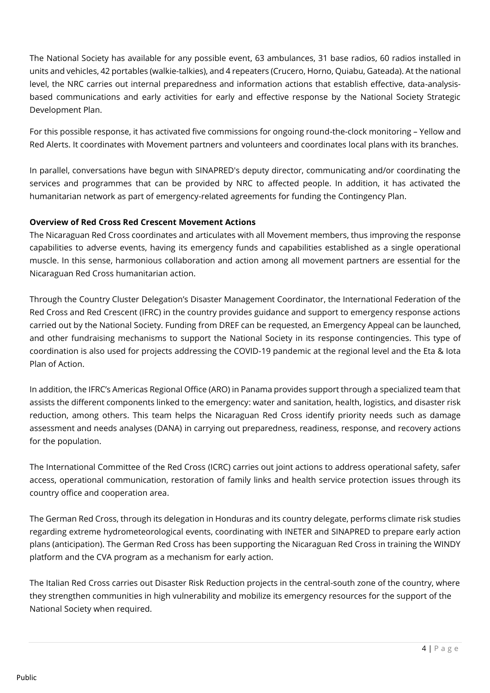The National Society has available for any possible event, 63 ambulances, 31 base radios, 60 radios installed in units and vehicles, 42 portables (walkie-talkies), and 4 repeaters (Crucero, Horno, Quiabu, Gateada). At the national level, the NRC carries out internal preparedness and information actions that establish effective, data-analysisbased communications and early activities for early and effective response by the National Society Strategic Development Plan.

For this possible response, it has activated five commissions for ongoing round-the-clock monitoring – Yellow and Red Alerts. It coordinates with Movement partners and volunteers and coordinates local plans with its branches.

In parallel, conversations have begun with SINAPRED's deputy director, communicating and/or coordinating the services and programmes that can be provided by NRC to affected people. In addition, it has activated the humanitarian network as part of emergency-related agreements for funding the Contingency Plan.

#### **Overview of Red Cross Red Crescent Movement Actions**

The Nicaraguan Red Cross coordinates and articulates with all Movement members, thus improving the response capabilities to adverse events, having its emergency funds and capabilities established as a single operational muscle. In this sense, harmonious collaboration and action among all movement partners are essential for the Nicaraguan Red Cross humanitarian action.

Through the Country Cluster Delegation's Disaster Management Coordinator, the International Federation of the Red Cross and Red Crescent (IFRC) in the country provides guidance and support to emergency response actions carried out by the National Society. Funding from DREF can be requested, an Emergency Appeal can be launched, and other fundraising mechanisms to support the National Society in its response contingencies. This type of coordination is also used for projects addressing the COVID-19 pandemic at the regional level and the Eta & Iota Plan of Action.

In addition, the IFRC's Americas Regional Office (ARO) in Panama provides support through a specialized team that assists the different components linked to the emergency: water and sanitation, health, logistics, and disaster risk reduction, among others. This team helps the Nicaraguan Red Cross identify priority needs such as damage assessment and needs analyses (DANA) in carrying out preparedness, readiness, response, and recovery actions for the population.

The International Committee of the Red Cross (ICRC) carries out joint actions to address operational safety, safer access, operational communication, restoration of family links and health service protection issues through its country office and cooperation area.

The German Red Cross, through its delegation in Honduras and its country delegate, performs climate risk studies regarding extreme hydrometeorological events, coordinating with INETER and SINAPRED to prepare early action plans (anticipation). The German Red Cross has been supporting the Nicaraguan Red Cross in training the WINDY platform and the CVA program as a mechanism for early action.

The Italian Red Cross carries out Disaster Risk Reduction projects in the central-south zone of the country, where they strengthen communities in high vulnerability and mobilize its emergency resources for the support of the National Society when required.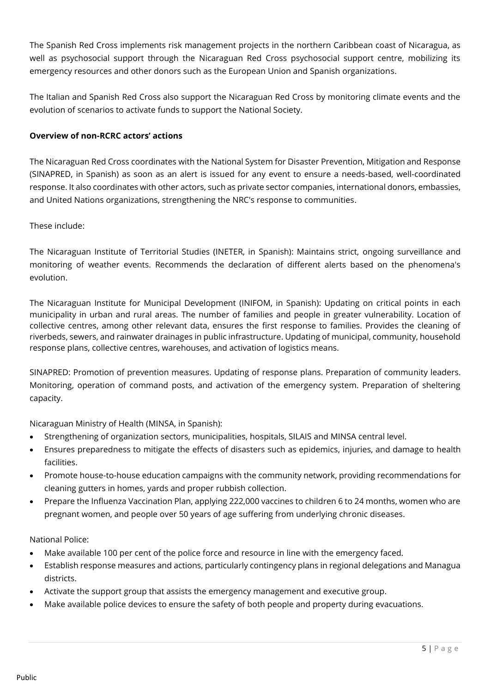The Spanish Red Cross implements risk management projects in the northern Caribbean coast of Nicaragua, as well as psychosocial support through the Nicaraguan Red Cross psychosocial support centre, mobilizing its emergency resources and other donors such as the European Union and Spanish organizations.

The Italian and Spanish Red Cross also support the Nicaraguan Red Cross by monitoring climate events and the evolution of scenarios to activate funds to support the National Society.

#### **Overview of non-RCRC actors' actions**

The Nicaraguan Red Cross coordinates with the National System for Disaster Prevention, Mitigation and Response (SINAPRED, in Spanish) as soon as an alert is issued for any event to ensure a needs-based, well-coordinated response. It also coordinates with other actors, such as private sector companies, international donors, embassies, and United Nations organizations, strengthening the NRC's response to communities.

#### These include:

The Nicaraguan Institute of Territorial Studies (INETER, in Spanish): Maintains strict, ongoing surveillance and monitoring of weather events. Recommends the declaration of different alerts based on the phenomena's evolution.

The Nicaraguan Institute for Municipal Development (INIFOM, in Spanish): Updating on critical points in each municipality in urban and rural areas. The number of families and people in greater vulnerability. Location of collective centres, among other relevant data, ensures the first response to families. Provides the cleaning of riverbeds, sewers, and rainwater drainages in public infrastructure. Updating of municipal, community, household response plans, collective centres, warehouses, and activation of logistics means.

SINAPRED: Promotion of prevention measures. Updating of response plans. Preparation of community leaders. Monitoring, operation of command posts, and activation of the emergency system. Preparation of sheltering capacity.

Nicaraguan Ministry of Health (MINSA, in Spanish):

- Strengthening of organization sectors, municipalities, hospitals, SILAIS and MINSA central level.
- Ensures preparedness to mitigate the effects of disasters such as epidemics, injuries, and damage to health facilities.
- Promote house-to-house education campaigns with the community network, providing recommendations for cleaning gutters in homes, yards and proper rubbish collection.
- Prepare the Influenza Vaccination Plan, applying 222,000 vaccines to children 6 to 24 months, women who are pregnant women, and people over 50 years of age suffering from underlying chronic diseases.

National Police:

- Make available 100 per cent of the police force and resource in line with the emergency faced.
- Establish response measures and actions, particularly contingency plans in regional delegations and Managua districts.
- Activate the support group that assists the emergency management and executive group.
- Make available police devices to ensure the safety of both people and property during evacuations.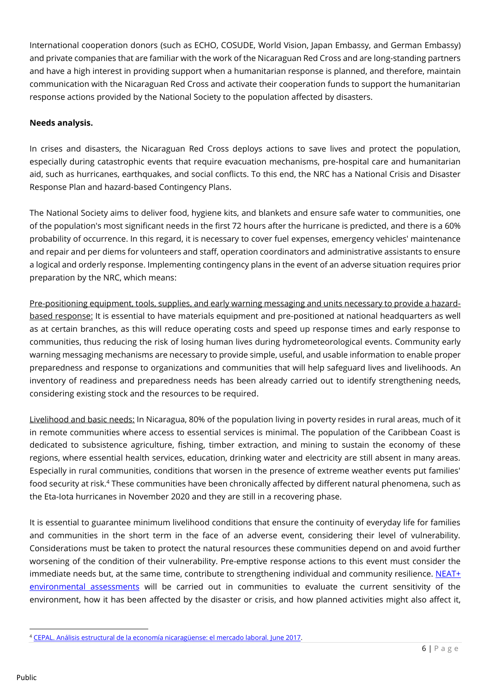International cooperation donors (such as ECHO, COSUDE, World Vision, Japan Embassy, and German Embassy) and private companies that are familiar with the work of the Nicaraguan Red Cross and are long-standing partners and have a high interest in providing support when a humanitarian response is planned, and therefore, maintain communication with the Nicaraguan Red Cross and activate their cooperation funds to support the humanitarian response actions provided by the National Society to the population affected by disasters.

#### **Needs analysis.**

In crises and disasters, the Nicaraguan Red Cross deploys actions to save lives and protect the population, especially during catastrophic events that require evacuation mechanisms, pre-hospital care and humanitarian aid, such as hurricanes, earthquakes, and social conflicts. To this end, the NRC has a National Crisis and Disaster Response Plan and hazard-based Contingency Plans.

The National Society aims to deliver food, hygiene kits, and blankets and ensure safe water to communities, one of the population's most significant needs in the first 72 hours after the hurricane is predicted, and there is a 60% probability of occurrence. In this regard, it is necessary to cover fuel expenses, emergency vehicles' maintenance and repair and per diems for volunteers and staff, operation coordinators and administrative assistants to ensure a logical and orderly response. Implementing contingency plans in the event of an adverse situation requires prior preparation by the NRC, which means:

Pre-positioning equipment, tools, supplies, and early warning messaging and units necessary to provide a hazardbased response: It is essential to have materials equipment and pre-positioned at national headquarters as well as at certain branches, as this will reduce operating costs and speed up response times and early response to communities, thus reducing the risk of losing human lives during hydrometeorological events. Community early warning messaging mechanisms are necessary to provide simple, useful, and usable information to enable proper preparedness and response to organizations and communities that will help safeguard lives and livelihoods. An inventory of readiness and preparedness needs has been already carried out to identify strengthening needs, considering existing stock and the resources to be required.

Livelihood and basic needs: In Nicaragua, 80% of the population living in poverty resides in rural areas, much of it in remote communities where access to essential services is minimal. The population of the Caribbean Coast is dedicated to subsistence agriculture, fishing, timber extraction, and mining to sustain the economy of these regions, where essential health services, education, drinking water and electricity are still absent in many areas. Especially in rural communities, conditions that worsen in the presence of extreme weather events put families' food security at risk.<sup>4</sup> These communities have been chronically affected by different natural phenomena, such as the Eta-Iota hurricanes in November 2020 and they are still in a recovering phase.

It is essential to guarantee minimum livelihood conditions that ensure the continuity of everyday life for families and communities in the short term in the face of an adverse event, considering their level of vulnerability. Considerations must be taken to protect the natural resources these communities depend on and avoid further worsening of the condition of their vulnerability. Pre-emptive response actions to this event must consider the immediate needs but, at the same time, contribute to strengthening individual and community resilience. [NEAT+](https://neatplus.org/)  [environmental assessments](https://neatplus.org/) will be carried out in communities to evaluate the current sensitivity of the environment, how it has been affected by the disaster or crisis, and how planned activities might also affect it,

<sup>4</sup> [CEPAL. Análisis estructural de la economía nicaragüense: el mercado laboral. June 2017.](https://www.cepal.org/es/publicaciones/41942-analisis-estructural-la-economia-nicaraguense-mercado-laboral)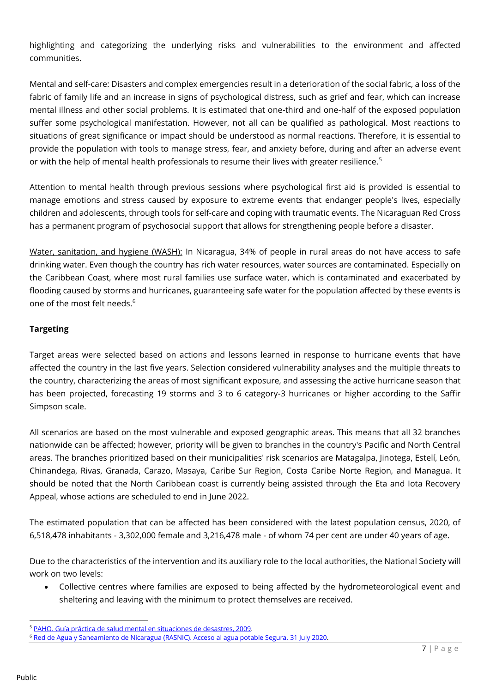highlighting and categorizing the underlying risks and vulnerabilities to the environment and affected communities.

Mental and self-care: Disasters and complex emergencies result in a deterioration of the social fabric, a loss of the fabric of family life and an increase in signs of psychological distress, such as grief and fear, which can increase mental illness and other social problems. It is estimated that one-third and one-half of the exposed population suffer some psychological manifestation. However, not all can be qualified as pathological. Most reactions to situations of great significance or impact should be understood as normal reactions. Therefore, it is essential to provide the population with tools to manage stress, fear, and anxiety before, during and after an adverse event or with the help of mental health professionals to resume their lives with greater resilience.<sup>5</sup>

Attention to mental health through previous sessions where psychological first aid is provided is essential to manage emotions and stress caused by exposure to extreme events that endanger people's lives, especially children and adolescents, through tools for self-care and coping with traumatic events. The Nicaraguan Red Cross has a permanent program of psychosocial support that allows for strengthening people before a disaster.

Water, sanitation, and hygiene (WASH): In Nicaragua, 34% of people in rural areas do not have access to safe drinking water. Even though the country has rich water resources, water sources are contaminated. Especially on the Caribbean Coast, where most rural families use surface water, which is contaminated and exacerbated by flooding caused by storms and hurricanes, guaranteeing safe water for the population affected by these events is one of the most felt needs.<sup>6</sup>

#### **Targeting**

Target areas were selected based on actions and lessons learned in response to hurricane events that have affected the country in the last five years. Selection considered vulnerability analyses and the multiple threats to the country, characterizing the areas of most significant exposure, and assessing the active hurricane season that has been projected, forecasting 19 storms and 3 to 6 category-3 hurricanes or higher according to the Saffir Simpson scale.

All scenarios are based on the most vulnerable and exposed geographic areas. This means that all 32 branches nationwide can be affected; however, priority will be given to branches in the country's Pacific and North Central areas. The branches prioritized based on their municipalities' risk scenarios are Matagalpa, Jinotega, Estelí, León, Chinandega, Rivas, Granada, Carazo, Masaya, Caribe Sur Region, Costa Caribe Norte Region, and Managua. It should be noted that the North Caribbean coast is currently being assisted through the Eta and Iota Recovery Appeal, whose actions are scheduled to end in June 2022.

The estimated population that can be affected has been considered with the latest population census, 2020, of 6,518,478 inhabitants - 3,302,000 female and 3,216,478 male - of whom 74 per cent are under 40 years of age.

Due to the characteristics of the intervention and its auxiliary role to the local authorities, the National Society will work on two levels:

• Collective centres where families are exposed to being affected by the hydrometeorological event and sheltering and leaving with the minimum to protect themselves are received.

<sup>5</sup> [PAHO. Guía práctica de salud mental en situaciones de desastres, 2009.](https://iris.paho.org/bitstream/handle/10665.2/2800/9275326657-spa.pdf?sequence=1&isAllowed=y)

<sup>6</sup> [Red de Agua y Saneamiento de Nicaragua \(RASNIC\). Acceso al agua potable Segura. 31 July 2020.](https://www.rasnic.org/acceso-al-agua-potable-segura/)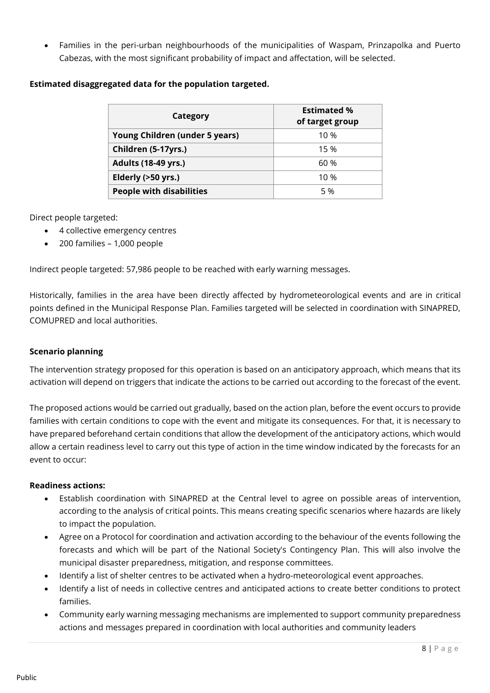• Families in the peri-urban neighbourhoods of the municipalities of Waspam, Prinzapolka and Puerto Cabezas, with the most significant probability of impact and affectation, will be selected.

#### **Estimated disaggregated data for the population targeted.**

| Category                        | <b>Estimated %</b><br>of target group |
|---------------------------------|---------------------------------------|
| Young Children (under 5 years)  | 10 %                                  |
| Children (5-17yrs.)             | 15 %                                  |
| <b>Adults (18-49 yrs.)</b>      | 60 %                                  |
| Elderly (>50 yrs.)              | 10 %                                  |
| <b>People with disabilities</b> | 5 %                                   |

Direct people targeted:

- 4 collective emergency centres
- 200 families 1,000 people

Indirect people targeted: 57,986 people to be reached with early warning messages.

Historically, families in the area have been directly affected by hydrometeorological events and are in critical points defined in the Municipal Response Plan. Families targeted will be selected in coordination with SINAPRED, COMUPRED and local authorities.

#### **Scenario planning**

The intervention strategy proposed for this operation is based on an anticipatory approach, which means that its activation will depend on triggers that indicate the actions to be carried out according to the forecast of the event.

The proposed actions would be carried out gradually, based on the action plan, before the event occurs to provide families with certain conditions to cope with the event and mitigate its consequences. For that, it is necessary to have prepared beforehand certain conditions that allow the development of the anticipatory actions, which would allow a certain readiness level to carry out this type of action in the time window indicated by the forecasts for an event to occur:

#### **Readiness actions:**

- Establish coordination with SINAPRED at the Central level to agree on possible areas of intervention, according to the analysis of critical points. This means creating specific scenarios where hazards are likely to impact the population.
- Agree on a Protocol for coordination and activation according to the behaviour of the events following the forecasts and which will be part of the National Society's Contingency Plan. This will also involve the municipal disaster preparedness, mitigation, and response committees.
- Identify a list of shelter centres to be activated when a hydro-meteorological event approaches.
- Identify a list of needs in collective centres and anticipated actions to create better conditions to protect families.
- Community early warning messaging mechanisms are implemented to support community preparedness actions and messages prepared in coordination with local authorities and community leaders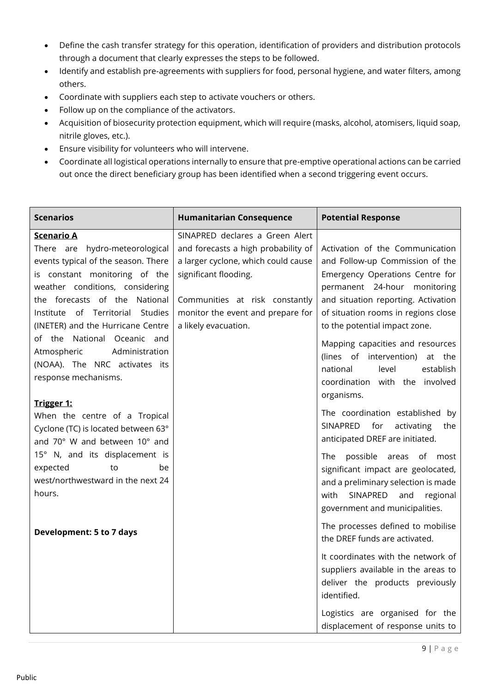- Define the cash transfer strategy for this operation, identification of providers and distribution protocols through a document that clearly expresses the steps to be followed.
- Identify and establish pre-agreements with suppliers for food, personal hygiene, and water filters, among others.
- Coordinate with suppliers each step to activate vouchers or others.
- Follow up on the compliance of the activators.
- Acquisition of biosecurity protection equipment, which will require (masks, alcohol, atomisers, liquid soap, nitrile gloves, etc.).
- Ensure visibility for volunteers who will intervene.
- Coordinate all logistical operations internally to ensure that pre-emptive operational actions can be carried out once the direct beneficiary group has been identified when a second triggering event occurs.

| <b>Scenarios</b>                                          | <b>Humanitarian Consequence</b>     | <b>Potential Response</b>            |
|-----------------------------------------------------------|-------------------------------------|--------------------------------------|
| <b>Scenario A</b>                                         | SINAPRED declares a Green Alert     |                                      |
| There are hydro-meteorological                            | and forecasts a high probability of | Activation of the Communication      |
| events typical of the season. There                       | a larger cyclone, which could cause | and Follow-up Commission of the      |
| is constant monitoring of the                             | significant flooding.               | Emergency Operations Centre for      |
| weather conditions, considering                           |                                     | permanent 24-hour monitoring         |
| the forecasts of the National                             | Communities at risk constantly      | and situation reporting. Activation  |
| Institute of Territorial Studies                          | monitor the event and prepare for   | of situation rooms in regions close  |
| (INETER) and the Hurricane Centre                         | a likely evacuation.                | to the potential impact zone.        |
| of the National Oceanic and                               |                                     | Mapping capacities and resources     |
| Administration<br>Atmospheric                             |                                     | (lines of intervention)<br>at the    |
| (NOAA). The NRC activates its                             |                                     | establish<br>national<br>level       |
| response mechanisms.                                      |                                     | coordination with the involved       |
|                                                           |                                     | organisms.                           |
| <u>Trigger 1:</u>                                         |                                     | The coordination established by      |
| When the centre of a Tropical                             |                                     | SINAPRED<br>for<br>activating<br>the |
| Cyclone (TC) is located between 63°                       |                                     | anticipated DREF are initiated.      |
| and 70° W and between 10° and                             |                                     |                                      |
| 15° N, and its displacement is                            |                                     | The possible areas of most           |
| expected<br>to<br>be<br>west/northwestward in the next 24 |                                     | significant impact are geolocated,   |
| hours.                                                    |                                     | and a preliminary selection is made  |
|                                                           |                                     | SINAPRED<br>regional<br>with<br>and  |
|                                                           |                                     | government and municipalities.       |
| <b>Development: 5 to 7 days</b>                           |                                     | The processes defined to mobilise    |
|                                                           |                                     | the DREF funds are activated.        |
|                                                           |                                     | It coordinates with the network of   |
|                                                           |                                     | suppliers available in the areas to  |
|                                                           |                                     | deliver the products previously      |
|                                                           |                                     | identified.                          |
|                                                           |                                     | Logistics are organised for the      |
|                                                           |                                     | displacement of response units to    |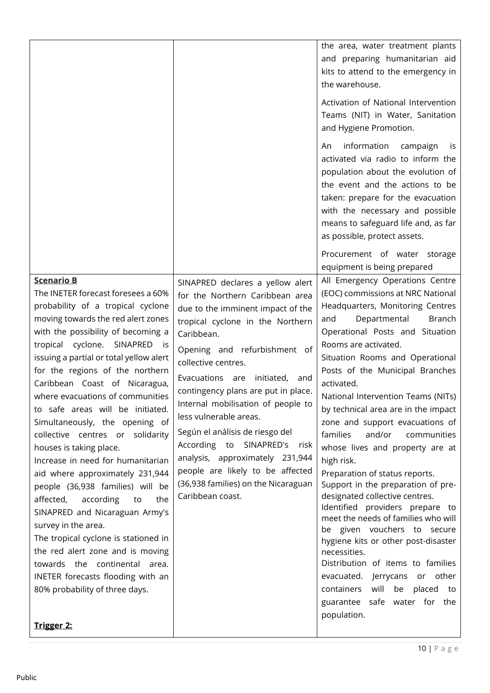|                                                                                                                                                                                                                                                                                                                                                                                                                                                                                                                                                                                                                                                                                                                                                                                                                                                                                                                      |                                                                                                                                                                                                                                                                                                                                                                                                                                                                                                                                                                       | the area, water treatment plants<br>and preparing humanitarian aid<br>kits to attend to the emergency in<br>the warehouse.<br>Activation of National Intervention<br>Teams (NIT) in Water, Sanitation<br>and Hygiene Promotion.<br>information campaign<br>An<br>İS.<br>activated via radio to inform the<br>population about the evolution of<br>the event and the actions to be<br>taken: prepare for the evacuation<br>with the necessary and possible<br>means to safeguard life and, as far<br>as possible, protect assets.<br>Procurement of water storage<br>equipment is being prepared                                                                                                                                                                                                                                                                                                                                        |
|----------------------------------------------------------------------------------------------------------------------------------------------------------------------------------------------------------------------------------------------------------------------------------------------------------------------------------------------------------------------------------------------------------------------------------------------------------------------------------------------------------------------------------------------------------------------------------------------------------------------------------------------------------------------------------------------------------------------------------------------------------------------------------------------------------------------------------------------------------------------------------------------------------------------|-----------------------------------------------------------------------------------------------------------------------------------------------------------------------------------------------------------------------------------------------------------------------------------------------------------------------------------------------------------------------------------------------------------------------------------------------------------------------------------------------------------------------------------------------------------------------|----------------------------------------------------------------------------------------------------------------------------------------------------------------------------------------------------------------------------------------------------------------------------------------------------------------------------------------------------------------------------------------------------------------------------------------------------------------------------------------------------------------------------------------------------------------------------------------------------------------------------------------------------------------------------------------------------------------------------------------------------------------------------------------------------------------------------------------------------------------------------------------------------------------------------------------|
| <b>Scenario B</b><br>The INETER forecast foresees a 60%<br>probability of a tropical cyclone<br>moving towards the red alert zones<br>with the possibility of becoming a<br>tropical cyclone. SINAPRED<br>- is<br>issuing a partial or total yellow alert<br>for the regions of the northern<br>Caribbean Coast of Nicaragua,<br>where evacuations of communities<br>to safe areas will be initiated.<br>Simultaneously, the opening of<br>collective centres or solidarity<br>houses is taking place.<br>Increase in need for humanitarian<br>aid where approximately 231,944<br>people (36,938 families) will be<br>affected,<br>according<br>the<br>to<br>SINAPRED and Nicaraguan Army's<br>survey in the area.<br>The tropical cyclone is stationed in<br>the red alert zone and is moving<br>towards the continental area.<br>INETER forecasts flooding with an<br>80% probability of three days.<br>Trigger 2: | SINAPRED declares a yellow alert<br>for the Northern Caribbean area<br>due to the imminent impact of the<br>tropical cyclone in the Northern<br>Caribbean.<br>Opening and refurbishment of<br>collective centres.<br>Evacuations are<br>initiated, and<br>contingency plans are put in place.<br>Internal mobilisation of people to<br>less vulnerable areas.<br>Según el análisis de riesgo del<br>According to SINAPRED's<br>risk<br>analysis, approximately 231,944<br>people are likely to be affected<br>(36,938 families) on the Nicaraguan<br>Caribbean coast. | All Emergency Operations Centre<br>(EOC) commissions at NRC National<br>Headquarters, Monitoring Centres<br>Departmental<br>Branch<br>and<br>Operational Posts and Situation<br>Rooms are activated.<br>Situation Rooms and Operational<br>Posts of the Municipal Branches<br>activated.<br>National Intervention Teams (NITs)<br>by technical area are in the impact<br>zone and support evacuations of<br>families<br>and/or<br>communities<br>whose lives and property are at<br>high risk.<br>Preparation of status reports.<br>Support in the preparation of pre-<br>designated collective centres.<br>Identified providers prepare to<br>meet the needs of families who will<br>be given vouchers to secure<br>hygiene kits or other post-disaster<br>necessities.<br>Distribution of items to families<br>evacuated. Jerrycans or other<br>will<br>containers<br>be placed<br>to<br>guarantee safe water for the<br>population. |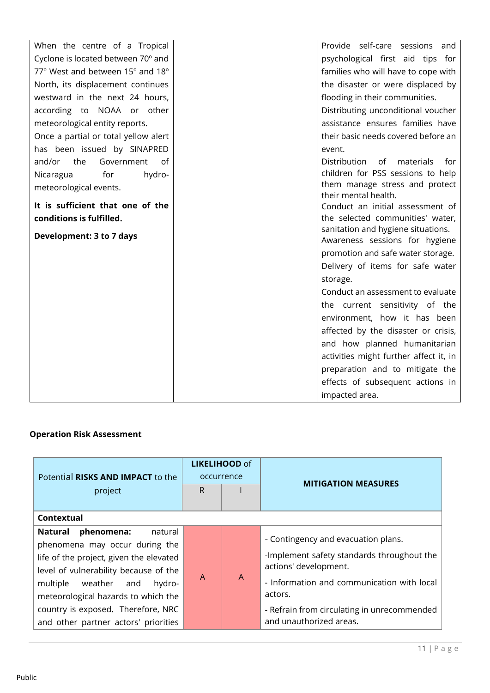| When the centre of a Tropical        | Provide self-care sessions and                         |
|--------------------------------------|--------------------------------------------------------|
| Cyclone is located between 70° and   | psychological first aid tips for                       |
| 77° West and between 15° and 18°     | families who will have to cope with                    |
| North, its displacement continues    | the disaster or were displaced by                      |
| westward in the next 24 hours,       | flooding in their communities.                         |
| according to NOAA or other           | Distributing unconditional voucher                     |
| meteorological entity reports.       | assistance ensures families have                       |
| Once a partial or total yellow alert | their basic needs covered before an                    |
| has been issued by SINAPRED          | event.                                                 |
| Government<br>and/or<br>the<br>of    | <b>Distribution</b><br>materials<br>of<br>for          |
| for<br>hydro-<br>Nicaragua           | children for PSS sessions to help                      |
| meteorological events.               | them manage stress and protect<br>their mental health. |
| It is sufficient that one of the     | Conduct an initial assessment of                       |
| conditions is fulfilled.             | the selected communities' water,                       |
|                                      | sanitation and hygiene situations.                     |
| Development: 3 to 7 days             | Awareness sessions for hygiene                         |
|                                      | promotion and safe water storage.                      |
|                                      | Delivery of items for safe water                       |
|                                      | storage.                                               |
|                                      | Conduct an assessment to evaluate                      |
|                                      | the current sensitivity of the                         |
|                                      | environment, how it has been                           |
|                                      | affected by the disaster or crisis,                    |
|                                      | and how planned humanitarian                           |
|                                      | activities might further affect it, in                 |
|                                      | preparation and to mitigate the                        |
|                                      | effects of subsequent actions in                       |
|                                      | impacted area.                                         |

### **Operation Risk Assessment**

| Potential RISKS AND IMPACT to the<br>project<br>Contextual                                                                                                                                                                                                                                                    | <b>LIKELIHOOD of</b><br>occurrence<br>R |   | <b>MITIGATION MEASURES</b>                                                                                                                                                                                                                    |
|---------------------------------------------------------------------------------------------------------------------------------------------------------------------------------------------------------------------------------------------------------------------------------------------------------------|-----------------------------------------|---|-----------------------------------------------------------------------------------------------------------------------------------------------------------------------------------------------------------------------------------------------|
| phenomena:<br>Natural<br>natural<br>phenomena may occur during the<br>life of the project, given the elevated<br>level of vulnerability because of the<br>multiple weather and<br>hydro-<br>meteorological hazards to which the<br>country is exposed. Therefore, NRC<br>and other partner actors' priorities | $\mathsf{A}$                            | A | - Contingency and evacuation plans.<br>-Implement safety standards throughout the<br>actions' development.<br>- Information and communication with local<br>actors.<br>- Refrain from circulating in unrecommended<br>and unauthorized areas. |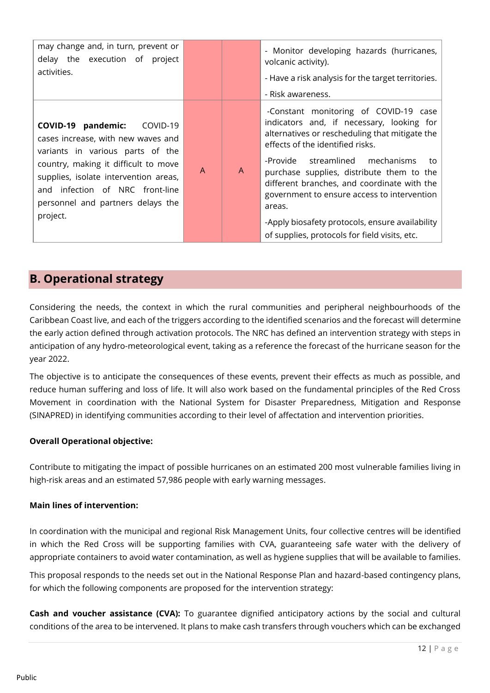| may change and, in turn, prevent or<br>delay the execution of project<br>activities.                                                                                                                                                                                          |              |              | - Monitor developing hazards (hurricanes,<br>volcanic activity).<br>- Have a risk analysis for the target territories.<br>- Risk awareness.                                                                                                                                                                                                                                                                                                                                |
|-------------------------------------------------------------------------------------------------------------------------------------------------------------------------------------------------------------------------------------------------------------------------------|--------------|--------------|----------------------------------------------------------------------------------------------------------------------------------------------------------------------------------------------------------------------------------------------------------------------------------------------------------------------------------------------------------------------------------------------------------------------------------------------------------------------------|
| COVID-19 pandemic:<br>COVID-19<br>cases increase, with new waves and<br>variants in various parts of the<br>country, making it difficult to move<br>supplies, isolate intervention areas,<br>and infection of NRC front-line<br>personnel and partners delays the<br>project. | $\mathsf{A}$ | $\mathsf{A}$ | -Constant monitoring of COVID-19 case<br>indicators and, if necessary, looking for<br>alternatives or rescheduling that mitigate the<br>effects of the identified risks.<br>-Provide streamlined mechanisms<br>to<br>purchase supplies, distribute them to the<br>different branches, and coordinate with the<br>government to ensure access to intervention<br>areas.<br>-Apply biosafety protocols, ensure availability<br>of supplies, protocols for field visits, etc. |

## **B. Operational strategy**

Considering the needs, the context in which the rural communities and peripheral neighbourhoods of the Caribbean Coast live, and each of the triggers according to the identified scenarios and the forecast will determine the early action defined through activation protocols. The NRC has defined an intervention strategy with steps in anticipation of any hydro-meteorological event, taking as a reference the forecast of the hurricane season for the year 2022.

The objective is to anticipate the consequences of these events, prevent their effects as much as possible, and reduce human suffering and loss of life. It will also work based on the fundamental principles of the Red Cross Movement in coordination with the National System for Disaster Preparedness, Mitigation and Response (SINAPRED) in identifying communities according to their level of affectation and intervention priorities.

#### **Overall Operational objective:**

Contribute to mitigating the impact of possible hurricanes on an estimated 200 most vulnerable families living in high-risk areas and an estimated 57,986 people with early warning messages.

#### **Main lines of intervention:**

In coordination with the municipal and regional Risk Management Units, four collective centres will be identified in which the Red Cross will be supporting families with CVA, guaranteeing safe water with the delivery of appropriate containers to avoid water contamination, as well as hygiene supplies that will be available to families.

This proposal responds to the needs set out in the National Response Plan and hazard-based contingency plans, for which the following components are proposed for the intervention strategy:

**Cash and voucher assistance (CVA):** To guarantee dignified anticipatory actions by the social and cultural conditions of the area to be intervened. It plans to make cash transfers through vouchers which can be exchanged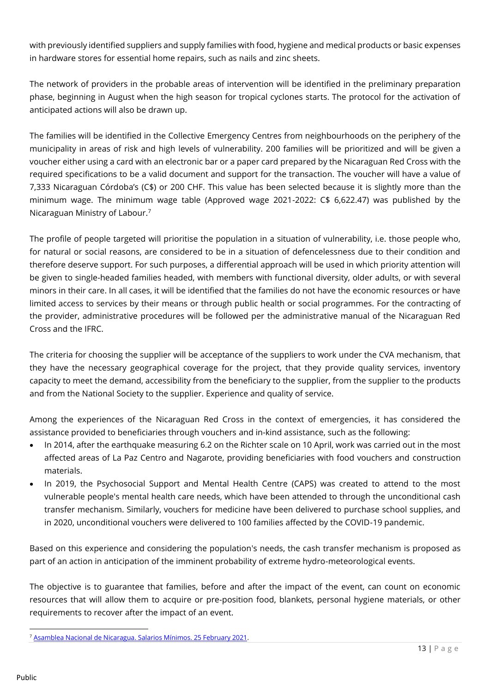with previously identified suppliers and supply families with food, hygiene and medical products or basic expenses in hardware stores for essential home repairs, such as nails and zinc sheets.

The network of providers in the probable areas of intervention will be identified in the preliminary preparation phase, beginning in August when the high season for tropical cyclones starts. The protocol for the activation of anticipated actions will also be drawn up.

The families will be identified in the Collective Emergency Centres from neighbourhoods on the periphery of the municipality in areas of risk and high levels of vulnerability. 200 families will be prioritized and will be given a voucher either using a card with an electronic bar or a paper card prepared by the Nicaraguan Red Cross with the required specifications to be a valid document and support for the transaction. The voucher will have a value of 7,333 Nicaraguan Córdoba's (C\$) or 200 CHF. This value has been selected because it is slightly more than the minimum wage. The minimum wage table (Approved wage 2021-2022: C\$ 6,622.47) was published by the Nicaraguan Ministry of Labour.<sup>7</sup>

The profile of people targeted will prioritise the population in a situation of vulnerability, i.e. those people who, for natural or social reasons, are considered to be in a situation of defencelessness due to their condition and therefore deserve support. For such purposes, a differential approach will be used in which priority attention will be given to single-headed families headed, with members with functional diversity, older adults, or with several minors in their care. In all cases, it will be identified that the families do not have the economic resources or have limited access to services by their means or through public health or social programmes. For the contracting of the provider, administrative procedures will be followed per the administrative manual of the Nicaraguan Red Cross and the IFRC.

The criteria for choosing the supplier will be acceptance of the suppliers to work under the CVA mechanism, that they have the necessary geographical coverage for the project, that they provide quality services, inventory capacity to meet the demand, accessibility from the beneficiary to the supplier, from the supplier to the products and from the National Society to the supplier. Experience and quality of service.

Among the experiences of the Nicaraguan Red Cross in the context of emergencies, it has considered the assistance provided to beneficiaries through vouchers and in-kind assistance, such as the following:

- In 2014, after the earthquake measuring 6.2 on the Richter scale on 10 April, work was carried out in the most affected areas of La Paz Centro and Nagarote, providing beneficiaries with food vouchers and construction materials.
- In 2019, the Psychosocial Support and Mental Health Centre (CAPS) was created to attend to the most vulnerable people's mental health care needs, which have been attended to through the unconditional cash transfer mechanism. Similarly, vouchers for medicine have been delivered to purchase school supplies, and in 2020, unconditional vouchers were delivered to 100 families affected by the COVID-19 pandemic.

Based on this experience and considering the population's needs, the cash transfer mechanism is proposed as part of an action in anticipation of the imminent probability of extreme hydro-meteorological events.

The objective is to guarantee that families, before and after the impact of the event, can count on economic resources that will allow them to acquire or pre-position food, blankets, personal hygiene materials, or other requirements to recover after the impact of an event.

<sup>7</sup> [Asamblea Nacional de Nicaragua. Salarios Mínimos. 25 February 2021.](http://legislacion.asamblea.gob.ni/normaweb.nsf/3133c0d121ea3897062568a1005e0f89/605ab8b2f2e7116f06258692007a8c65?OpenDocument)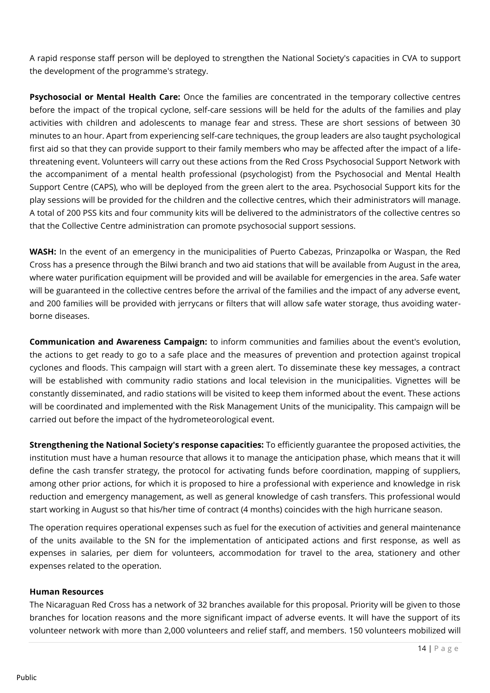A rapid response staff person will be deployed to strengthen the National Society's capacities in CVA to support the development of the programme's strategy.

**Psychosocial or Mental Health Care:** Once the families are concentrated in the temporary collective centres before the impact of the tropical cyclone, self-care sessions will be held for the adults of the families and play activities with children and adolescents to manage fear and stress. These are short sessions of between 30 minutes to an hour. Apart from experiencing self-care techniques, the group leaders are also taught psychological first aid so that they can provide support to their family members who may be affected after the impact of a lifethreatening event. Volunteers will carry out these actions from the Red Cross Psychosocial Support Network with the accompaniment of a mental health professional (psychologist) from the Psychosocial and Mental Health Support Centre (CAPS), who will be deployed from the green alert to the area. Psychosocial Support kits for the play sessions will be provided for the children and the collective centres, which their administrators will manage. A total of 200 PSS kits and four community kits will be delivered to the administrators of the collective centres so that the Collective Centre administration can promote psychosocial support sessions.

**WASH:** In the event of an emergency in the municipalities of Puerto Cabezas, Prinzapolka or Waspan, the Red Cross has a presence through the Bilwi branch and two aid stations that will be available from August in the area, where water purification equipment will be provided and will be available for emergencies in the area. Safe water will be guaranteed in the collective centres before the arrival of the families and the impact of any adverse event, and 200 families will be provided with jerrycans or filters that will allow safe water storage, thus avoiding waterborne diseases.

**Communication and Awareness Campaign:** to inform communities and families about the event's evolution, the actions to get ready to go to a safe place and the measures of prevention and protection against tropical cyclones and floods. This campaign will start with a green alert. To disseminate these key messages, a contract will be established with community radio stations and local television in the municipalities. Vignettes will be constantly disseminated, and radio stations will be visited to keep them informed about the event. These actions will be coordinated and implemented with the Risk Management Units of the municipality. This campaign will be carried out before the impact of the hydrometeorological event.

**Strengthening the National Society's response capacities:** To efficiently guarantee the proposed activities, the institution must have a human resource that allows it to manage the anticipation phase, which means that it will define the cash transfer strategy, the protocol for activating funds before coordination, mapping of suppliers, among other prior actions, for which it is proposed to hire a professional with experience and knowledge in risk reduction and emergency management, as well as general knowledge of cash transfers. This professional would start working in August so that his/her time of contract (4 months) coincides with the high hurricane season.

The operation requires operational expenses such as fuel for the execution of activities and general maintenance of the units available to the SN for the implementation of anticipated actions and first response, as well as expenses in salaries, per diem for volunteers, accommodation for travel to the area, stationery and other expenses related to the operation.

#### **Human Resources**

The Nicaraguan Red Cross has a network of 32 branches available for this proposal. Priority will be given to those branches for location reasons and the more significant impact of adverse events. It will have the support of its volunteer network with more than 2,000 volunteers and relief staff, and members. 150 volunteers mobilized will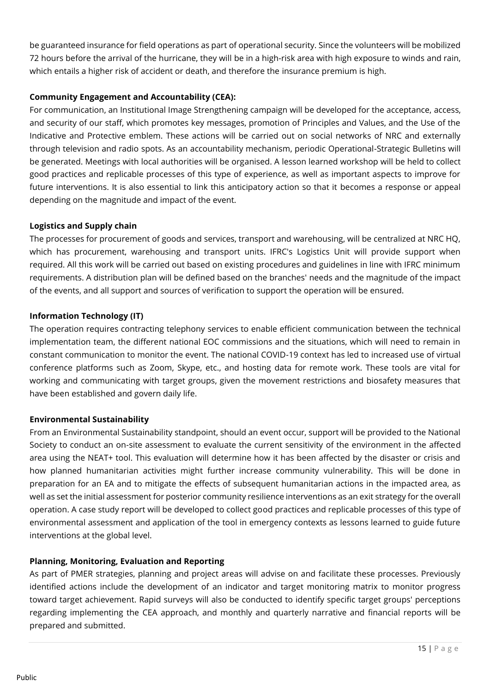be guaranteed insurance for field operations as part of operational security. Since the volunteers will be mobilized 72 hours before the arrival of the hurricane, they will be in a high-risk area with high exposure to winds and rain, which entails a higher risk of accident or death, and therefore the insurance premium is high.

#### **Community Engagement and Accountability (CEA):**

For communication, an Institutional Image Strengthening campaign will be developed for the acceptance, access, and security of our staff, which promotes key messages, promotion of Principles and Values, and the Use of the Indicative and Protective emblem. These actions will be carried out on social networks of NRC and externally through television and radio spots. As an accountability mechanism, periodic Operational-Strategic Bulletins will be generated. Meetings with local authorities will be organised. A lesson learned workshop will be held to collect good practices and replicable processes of this type of experience, as well as important aspects to improve for future interventions. It is also essential to link this anticipatory action so that it becomes a response or appeal depending on the magnitude and impact of the event.

#### **Logistics and Supply chain**

The processes for procurement of goods and services, transport and warehousing, will be centralized at NRC HQ, which has procurement, warehousing and transport units. IFRC's Logistics Unit will provide support when required. All this work will be carried out based on existing procedures and guidelines in line with IFRC minimum requirements. A distribution plan will be defined based on the branches' needs and the magnitude of the impact of the events, and all support and sources of verification to support the operation will be ensured.

#### **Information Technology (IT)**

The operation requires contracting telephony services to enable efficient communication between the technical implementation team, the different national EOC commissions and the situations, which will need to remain in constant communication to monitor the event. The national COVID-19 context has led to increased use of virtual conference platforms such as Zoom, Skype, etc., and hosting data for remote work. These tools are vital for working and communicating with target groups, given the movement restrictions and biosafety measures that have been established and govern daily life.

#### **Environmental Sustainability**

From an Environmental Sustainability standpoint, should an event occur, support will be provided to the National Society to conduct an on-site assessment to evaluate the current sensitivity of the environment in the affected area using the NEAT+ tool. This evaluation will determine how it has been affected by the disaster or crisis and how planned humanitarian activities might further increase community vulnerability. This will be done in preparation for an EA and to mitigate the effects of subsequent humanitarian actions in the impacted area, as well as set the initial assessment for posterior community resilience interventions as an exit strategy for the overall operation. A case study report will be developed to collect good practices and replicable processes of this type of environmental assessment and application of the tool in emergency contexts as lessons learned to guide future interventions at the global level.

#### **Planning, Monitoring, Evaluation and Reporting**

As part of PMER strategies, planning and project areas will advise on and facilitate these processes. Previously identified actions include the development of an indicator and target monitoring matrix to monitor progress toward target achievement. Rapid surveys will also be conducted to identify specific target groups' perceptions regarding implementing the CEA approach, and monthly and quarterly narrative and financial reports will be prepared and submitted.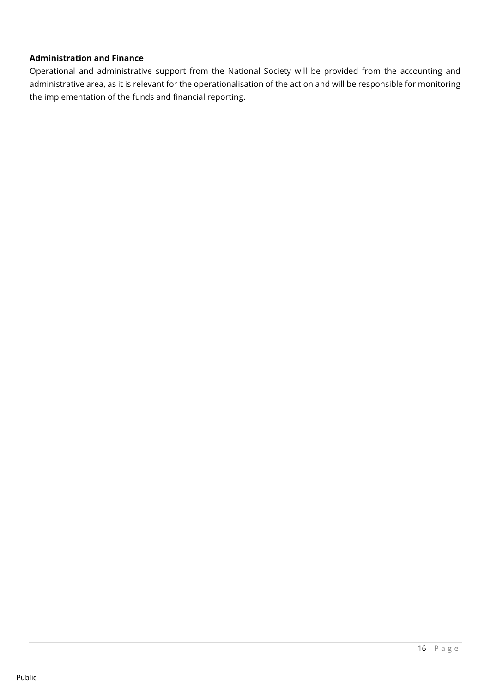#### **Administration and Finance**

Operational and administrative support from the National Society will be provided from the accounting and administrative area, as it is relevant for the operationalisation of the action and will be responsible for monitoring the implementation of the funds and financial reporting.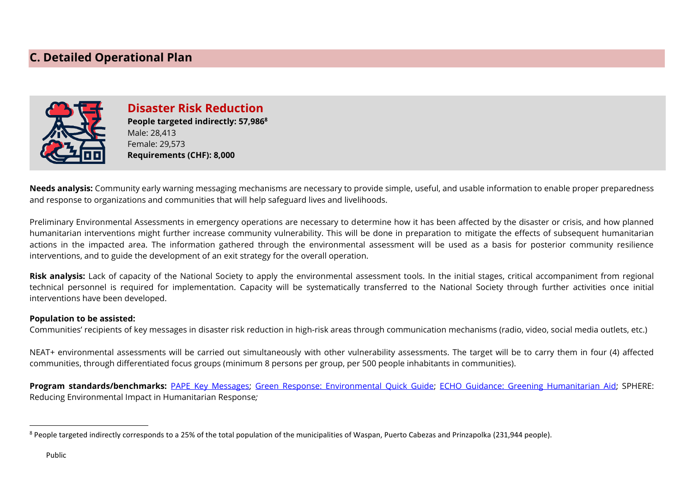## **C. Detailed Operational Plan**



**Disaster Risk Reduction People targeted indirectly: 57,986<sup>8</sup>** Male: 28,413 Female: 29,573 **Requirements (CHF): 8,000**

**Needs analysis:** Community early warning messaging mechanisms are necessary to provide simple, useful, and usable information to enable proper preparedness and response to organizations and communities that will help safeguard lives and livelihoods.

Preliminary Environmental Assessments in emergency operations are necessary to determine how it has been affected by the disaster or crisis, and how planned humanitarian interventions might further increase community vulnerability. This will be done in preparation to mitigate the effects of subsequent humanitarian actions in the impacted area. The information gathered through the environmental assessment will be used as a basis for posterior community resilience interventions, and to guide the development of an exit strategy for the overall operation.

**Risk analysis:** Lack of capacity of the National Society to apply the environmental assessment tools. In the initial stages, critical accompaniment from regional technical personnel is required for implementation. Capacity will be systematically transferred to the National Society through further activities once initial interventions have been developed.

#### **Population to be assisted:**

Communities' recipients of key messages in disaster risk reduction in high-risk areas through communication mechanisms (radio, video, social media outlets, etc.)

NEAT+ environmental assessments will be carried out simultaneously with other vulnerability assessments. The target will be to carry them in four (4) affected communities, through differentiated focus groups (minimum 8 persons per group, per 500 people inhabitants in communities).

**Program standards/benchmarks:** [PAPE Key Messages;](https://www.ifrc.org/document/key-messages-all-hazards-household-and-family-disaster-prevention) [Green Response: Environmental Quick Guide;](https://www.ifrc.org/sites/default/files/2022-05/20220511_GreenResponse_QuickGuide.pdf) [ECHO Guidance: Greening Humanitarian Aid;](https://www.dgecho-partners-helpdesk.eu/elearning-greening-humanitarian-aid#/) [SPHERE:](https://spherestandards.org/wp-content/uploads/Sphere-thematic-sheet-environment-EN.pdf)  [Reducing Environmental Impact in Humanitarian Response](https://spherestandards.org/wp-content/uploads/Sphere-thematic-sheet-environment-EN.pdf)*;* 

<sup>&</sup>lt;sup>8</sup> People targeted indirectly corresponds to a 25% of the total population of the municipalities of Waspan, Puerto Cabezas and Prinzapolka (231,944 people).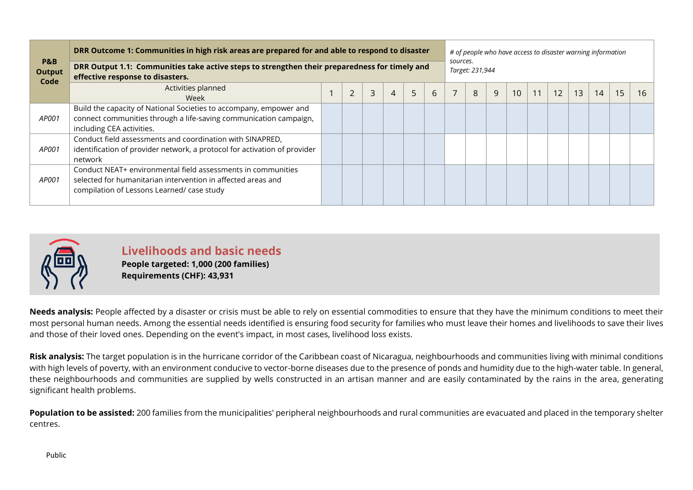| <b>P&amp;B</b><br><b>Output</b><br>Code | DRR Outcome 1: Communities in high risk areas are prepared for and able to respond to disaster<br>DRR Output 1.1: Communities take active steps to strengthen their preparedness for timely and<br>effective response to disasters. | # of people who have access to disaster warning information<br>sources.<br>Target: 231,944 |   |                |   |   |  |   |   |                 |  |    |    |    |    |    |
|-----------------------------------------|-------------------------------------------------------------------------------------------------------------------------------------------------------------------------------------------------------------------------------------|--------------------------------------------------------------------------------------------|---|----------------|---|---|--|---|---|-----------------|--|----|----|----|----|----|
|                                         | Activities planned<br>Week                                                                                                                                                                                                          | $\overline{2}$                                                                             | 3 | $\overline{4}$ | 5 | 6 |  | 8 | 9 | 10 <sup>°</sup> |  | 12 | 13 | 14 | 15 | 16 |
| AP001                                   | Build the capacity of National Societies to accompany, empower and<br>connect communities through a life-saving communication campaign,<br>including CEA activities.                                                                |                                                                                            |   |                |   |   |  |   |   |                 |  |    |    |    |    |    |
| <i>AP001</i>                            | Conduct field assessments and coordination with SINAPRED,<br>identification of provider network, a protocol for activation of provider<br>network                                                                                   |                                                                                            |   |                |   |   |  |   |   |                 |  |    |    |    |    |    |
| AP001                                   | Conduct NEAT+ environmental field assessments in communities<br>selected for humanitarian intervention in affected areas and<br>compilation of Lessons Learned/ case study                                                          |                                                                                            |   |                |   |   |  |   |   |                 |  |    |    |    |    |    |



**Livelihoods and basic needs People targeted: 1,000 (200 families) Requirements (CHF): 43,931**

**Needs analysis:** People affected by a disaster or crisis must be able to rely on essential commodities to ensure that they have the minimum conditions to meet their most personal human needs. Among the essential needs identified is ensuring food security for families who must leave their homes and livelihoods to save their lives and those of their loved ones. Depending on the event's impact, in most cases, livelihood loss exists.

**Risk analysis:** The target population is in the hurricane corridor of the Caribbean coast of Nicaragua, neighbourhoods and communities living with minimal conditions with high levels of poverty, with an environment conducive to vector-borne diseases due to the presence of ponds and humidity due to the high-water table. In general, these neighbourhoods and communities are supplied by wells constructed in an artisan manner and are easily contaminated by the rains in the area, generating significant health problems.

Population to be assisted: 200 families from the municipalities' peripheral neighbourhoods and rural communities are evacuated and placed in the temporary shelter centres.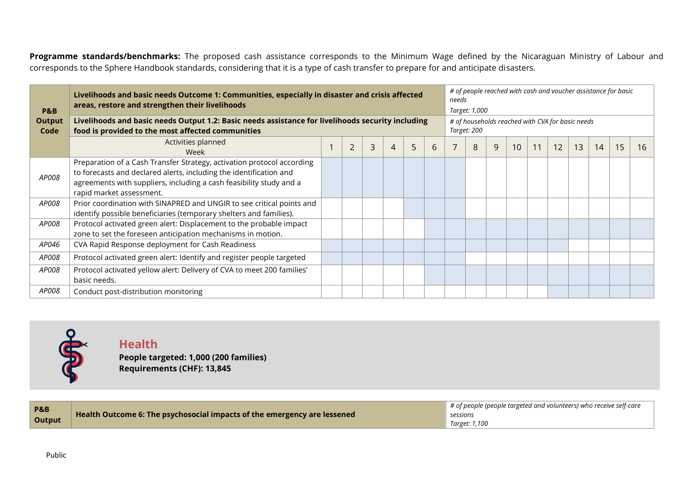Programme standards/benchmarks: The proposed cash assistance corresponds to the Minimum Wage defined by the Nicaraguan Ministry of Labour and corresponds to the Sphere Handbook standards, considering that it is a type of cash transfer to prepare for and anticipate disasters.

| <b>P&amp;B</b>        | Livelihoods and basic needs Outcome 1: Communities, especially in disaster and crisis affected<br>areas, restore and strengthen their livelihoods                                                                                               |  |                |                |   |   |   |  |   |                                                                 | # of people reached with cash and voucher assistance for basic<br>needs<br>Target: 1,000 |    |    |    |    |    |    |  |  |  |  |
|-----------------------|-------------------------------------------------------------------------------------------------------------------------------------------------------------------------------------------------------------------------------------------------|--|----------------|----------------|---|---|---|--|---|-----------------------------------------------------------------|------------------------------------------------------------------------------------------|----|----|----|----|----|----|--|--|--|--|
| <b>Output</b><br>Code | Livelihoods and basic needs Output 1.2: Basic needs assistance for livelihoods security including<br>food is provided to the most affected communities                                                                                          |  |                |                |   |   |   |  |   | # of households reached with CVA for basic needs<br>Target: 200 |                                                                                          |    |    |    |    |    |    |  |  |  |  |
|                       | Activities planned<br>Week                                                                                                                                                                                                                      |  | $\overline{2}$ | $\overline{3}$ | 4 | 5 | 6 |  | 8 |                                                                 | 10 <sup>°</sup>                                                                          | 11 | 12 | 13 | 14 | 15 | 16 |  |  |  |  |
| AP008                 | Preparation of a Cash Transfer Strategy, activation protocol according<br>to forecasts and declared alerts, including the identification and<br>agreements with suppliers, including a cash feasibility study and a<br>rapid market assessment. |  |                |                |   |   |   |  |   |                                                                 |                                                                                          |    |    |    |    |    |    |  |  |  |  |
| <i>AP008</i>          | Prior coordination with SINAPRED and UNGIR to see critical points and<br>identify possible beneficiaries (temporary shelters and families).                                                                                                     |  |                |                |   |   |   |  |   |                                                                 |                                                                                          |    |    |    |    |    |    |  |  |  |  |
| AP008                 | Protocol activated green alert: Displacement to the probable impact<br>zone to set the foreseen anticipation mechanisms in motion.                                                                                                              |  |                |                |   |   |   |  |   |                                                                 |                                                                                          |    |    |    |    |    |    |  |  |  |  |
| AP046                 | CVA Rapid Response deployment for Cash Readiness                                                                                                                                                                                                |  |                |                |   |   |   |  |   |                                                                 |                                                                                          |    |    |    |    |    |    |  |  |  |  |
| AP008                 | Protocol activated green alert: Identify and register people targeted                                                                                                                                                                           |  |                |                |   |   |   |  |   |                                                                 |                                                                                          |    |    |    |    |    |    |  |  |  |  |
| AP008                 | Protocol activated yellow alert: Delivery of CVA to meet 200 families'<br>basic needs.                                                                                                                                                          |  |                |                |   |   |   |  |   |                                                                 |                                                                                          |    |    |    |    |    |    |  |  |  |  |
| <i>AP008</i>          | Conduct post-distribution monitoring                                                                                                                                                                                                            |  |                |                |   |   |   |  |   |                                                                 |                                                                                          |    |    |    |    |    |    |  |  |  |  |



### **Health People targeted: 1,000 (200 families) Requirements (CHF): 13,845**

| <b>P&amp;B</b>                                                           | $\blacksquare$ # of people (people targeted and volunteers) who receive self-care |
|--------------------------------------------------------------------------|-----------------------------------------------------------------------------------|
| Health Outcome 6: The psychosocial impacts of the emergency are lessened | sessions                                                                          |
| Output                                                                   | Target: 1,100                                                                     |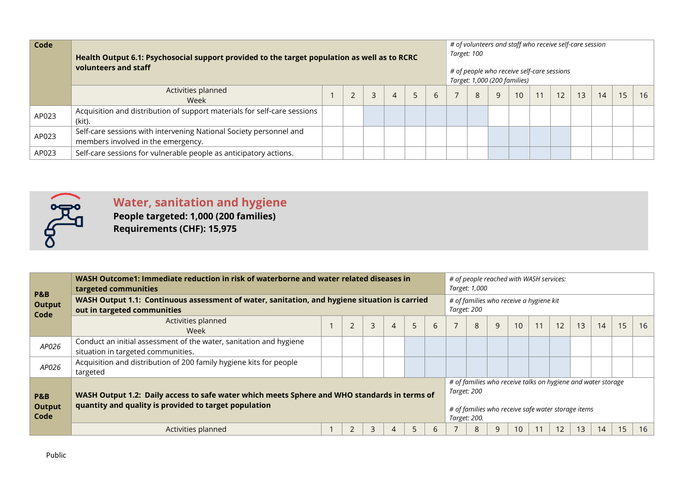| Code  | Health Output 6.1: Psychosocial support provided to the target population as well as to RCRC<br>volunteers and staff |  |  |   |  |   |                                                            |  |  | # of volunteers and staff who receive self-care session<br>Target: 100<br># of people who receive self-care sessions<br>Target: 1,000 (200 families) |  |  |  |    |    |    |    |  |
|-------|----------------------------------------------------------------------------------------------------------------------|--|--|---|--|---|------------------------------------------------------------|--|--|------------------------------------------------------------------------------------------------------------------------------------------------------|--|--|--|----|----|----|----|--|
|       | Activities planned<br>Week                                                                                           |  |  | 3 |  | 5 | $\overline{7}$<br>$\mathsf{q}$<br>12<br>10<br>8<br>11<br>6 |  |  |                                                                                                                                                      |  |  |  | 13 | 14 | 15 | 16 |  |
| AP023 | Acquisition and distribution of support materials for self-care sessions<br>(kit).                                   |  |  |   |  |   |                                                            |  |  |                                                                                                                                                      |  |  |  |    |    |    |    |  |
| AP023 | Self-care sessions with intervening National Society personnel and<br>members involved in the emergency.             |  |  |   |  |   |                                                            |  |  |                                                                                                                                                      |  |  |  |    |    |    |    |  |
| AP023 | Self-care sessions for vulnerable people as anticipatory actions.                                                    |  |  |   |  |   |                                                            |  |  |                                                                                                                                                      |  |  |  |    |    |    |    |  |



# **Water, sanitation and hygiene**

**People targeted: 1,000 (200 families) Requirements (CHF): 15,975**

| P&B<br><b>Output</b><br>Code | WASH Outcome1: Immediate reduction in risk of waterborne and water related diseases in<br>targeted communities                                                                       |  |                |   |                |   |   |  |   | # of people reached with WASH services:<br>Target: 1,000 |    |    |                                                                                                                    |    |    |    |    |  |  |
|------------------------------|--------------------------------------------------------------------------------------------------------------------------------------------------------------------------------------|--|----------------|---|----------------|---|---|--|---|----------------------------------------------------------|----|----|--------------------------------------------------------------------------------------------------------------------|----|----|----|----|--|--|
|                              | WASH Output 1.1: Continuous assessment of water, sanitation, and hygiene situation is carried<br>out in targeted communities                                                         |  |                |   |                |   |   |  |   | # of families who receive a hygiene kit<br>Target: 200   |    |    |                                                                                                                    |    |    |    |    |  |  |
|                              | Activities planned<br><b>Week</b>                                                                                                                                                    |  | $\overline{2}$ | 3 | $\overline{4}$ | 5 | 6 |  | 8 | 9                                                        | 10 | 11 | 12                                                                                                                 | 13 | 14 | 15 | 16 |  |  |
| AP026                        | Conduct an initial assessment of the water, sanitation and hygiene<br>situation in targeted communities.                                                                             |  |                |   |                |   |   |  |   |                                                          |    |    |                                                                                                                    |    |    |    |    |  |  |
| AP026                        | Acquisition and distribution of 200 family hygiene kits for people<br>targeted                                                                                                       |  |                |   |                |   |   |  |   |                                                          |    |    |                                                                                                                    |    |    |    |    |  |  |
| P&B<br><b>Output</b><br>Code | Target: 200<br>WASH Output 1.2: Daily access to safe water which meets Sphere and WHO standards in terms of<br>quantity and quality is provided to target population<br>Target: 200. |  |                |   |                |   |   |  |   |                                                          |    |    | # of families who receive talks on hygiene and water storage<br># of families who receive safe water storage items |    |    |    |    |  |  |
|                              | Activities planned                                                                                                                                                                   |  | 2              | 3 | 4              |   | 6 |  | 8 |                                                          | 10 | 11 | 12                                                                                                                 | 13 | 14 | 15 | 16 |  |  |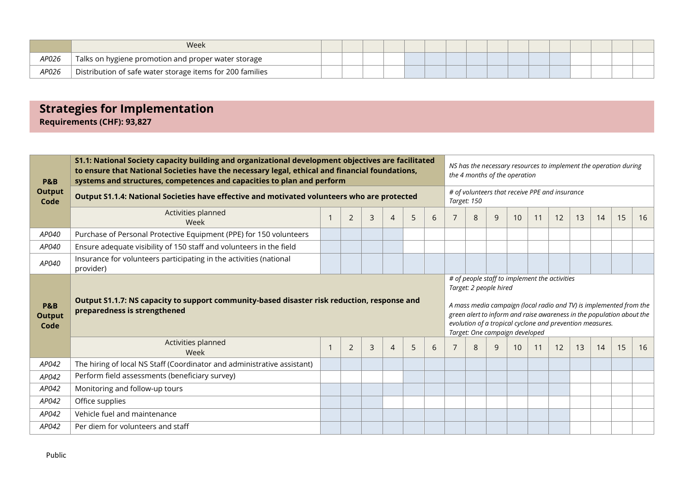|       | Week                                                          |  |  |  |  |  |  |  |  |
|-------|---------------------------------------------------------------|--|--|--|--|--|--|--|--|
| AP026 | $\,$ Talks on hygiene promotion and proper water storage $\,$ |  |  |  |  |  |  |  |  |
| AP026 | Distribution of safe water storage items for 200 families     |  |  |  |  |  |  |  |  |

# **Strategies for Implementation**

**Requirements (CHF): 93,827**

| <b>P&amp;B</b>                          | S1.1: National Society capacity building and organizational development objectives are facilitated<br>to ensure that National Societies have the necessary legal, ethical and financial foundations,<br>systems and structures, competences and capacities to plan and perform |  |                |   |                |   |                                                                                                                                                                                                                                                                                                                      | NS has the necessary resources to implement the operation during<br>the 4 months of the operation |   |   |                 |    |    |    |    |    |    |  |  |
|-----------------------------------------|--------------------------------------------------------------------------------------------------------------------------------------------------------------------------------------------------------------------------------------------------------------------------------|--|----------------|---|----------------|---|----------------------------------------------------------------------------------------------------------------------------------------------------------------------------------------------------------------------------------------------------------------------------------------------------------------------|---------------------------------------------------------------------------------------------------|---|---|-----------------|----|----|----|----|----|----|--|--|
| <b>Output</b><br>Code                   | Output S1.1.4: National Societies have effective and motivated volunteers who are protected                                                                                                                                                                                    |  |                |   |                |   |                                                                                                                                                                                                                                                                                                                      | # of volunteers that receive PPE and insurance<br>Target: 150                                     |   |   |                 |    |    |    |    |    |    |  |  |
|                                         | Activities planned<br>Week                                                                                                                                                                                                                                                     |  | $\overline{2}$ | 3 | 4              | 5 | 6                                                                                                                                                                                                                                                                                                                    |                                                                                                   | 8 | 9 | 10 <sup>°</sup> | 11 | 12 | 13 | 14 | 15 | 16 |  |  |
| AP040                                   | Purchase of Personal Protective Equipment (PPE) for 150 volunteers                                                                                                                                                                                                             |  |                |   |                |   |                                                                                                                                                                                                                                                                                                                      |                                                                                                   |   |   |                 |    |    |    |    |    |    |  |  |
| AP040                                   | Ensure adequate visibility of 150 staff and volunteers in the field                                                                                                                                                                                                            |  |                |   |                |   |                                                                                                                                                                                                                                                                                                                      |                                                                                                   |   |   |                 |    |    |    |    |    |    |  |  |
| AP040                                   | Insurance for volunteers participating in the activities (national<br>provider)                                                                                                                                                                                                |  |                |   |                |   |                                                                                                                                                                                                                                                                                                                      |                                                                                                   |   |   |                 |    |    |    |    |    |    |  |  |
|                                         | Output S1.1.7: NS capacity to support community-based disaster risk reduction, response and<br>preparedness is strengthened                                                                                                                                                    |  |                |   |                |   | # of people staff to implement the activities<br>Target: 2 people hired<br>A mass media campaign (local radio and TV) is implemented from the<br>green alert to inform and raise awareness in the population about the<br>evolution of a tropical cyclone and prevention measures.<br>Target: One campaign developed |                                                                                                   |   |   |                 |    |    |    |    |    |    |  |  |
| <b>P&amp;B</b><br><b>Output</b><br>Code |                                                                                                                                                                                                                                                                                |  |                |   |                |   |                                                                                                                                                                                                                                                                                                                      |                                                                                                   |   |   |                 |    |    |    |    |    |    |  |  |
|                                         | Activities planned<br>Week                                                                                                                                                                                                                                                     |  | $\overline{2}$ | 3 | $\overline{4}$ | 5 | 6                                                                                                                                                                                                                                                                                                                    |                                                                                                   | 8 | 9 | 10 <sup>°</sup> | 11 | 12 | 13 | 14 | 15 | 16 |  |  |
| AP042                                   | The hiring of local NS Staff (Coordinator and administrative assistant)                                                                                                                                                                                                        |  |                |   |                |   |                                                                                                                                                                                                                                                                                                                      |                                                                                                   |   |   |                 |    |    |    |    |    |    |  |  |
| AP042                                   | Perform field assessments (beneficiary survey)                                                                                                                                                                                                                                 |  |                |   |                |   |                                                                                                                                                                                                                                                                                                                      |                                                                                                   |   |   |                 |    |    |    |    |    |    |  |  |
| AP042                                   | Monitoring and follow-up tours                                                                                                                                                                                                                                                 |  |                |   |                |   |                                                                                                                                                                                                                                                                                                                      |                                                                                                   |   |   |                 |    |    |    |    |    |    |  |  |
| AP042                                   | Office supplies                                                                                                                                                                                                                                                                |  |                |   |                |   |                                                                                                                                                                                                                                                                                                                      |                                                                                                   |   |   |                 |    |    |    |    |    |    |  |  |
| AP042                                   | Vehicle fuel and maintenance                                                                                                                                                                                                                                                   |  |                |   |                |   |                                                                                                                                                                                                                                                                                                                      |                                                                                                   |   |   |                 |    |    |    |    |    |    |  |  |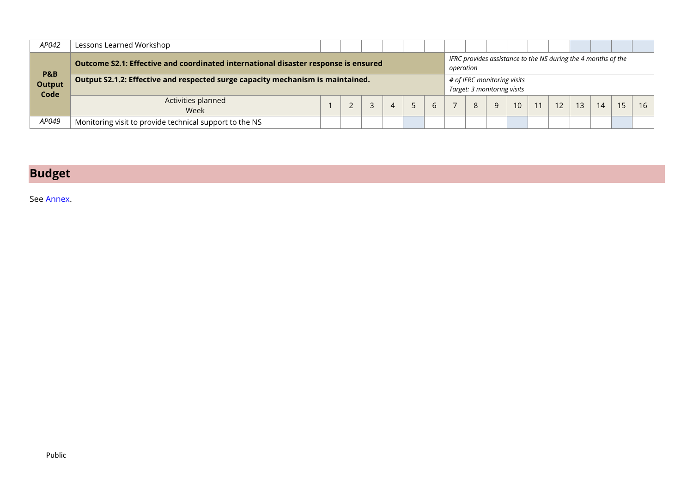| AP042                                   | Lessons Learned Workshop                                                           |  |  |  |  |  |              |                                                            |   |                                                                            |    |  |    |    |    |  |    |  |
|-----------------------------------------|------------------------------------------------------------------------------------|--|--|--|--|--|--------------|------------------------------------------------------------|---|----------------------------------------------------------------------------|----|--|----|----|----|--|----|--|
|                                         | Outcome S2.1: Effective and coordinated international disaster response is ensured |  |  |  |  |  |              |                                                            |   | IFRC provides assistance to the NS during the 4 months of the<br>operation |    |  |    |    |    |  |    |  |
| <b>P&amp;B</b><br><b>Output</b><br>Code | Output S2.1.2: Effective and respected surge capacity mechanism is maintained.     |  |  |  |  |  |              | # of IFRC monitoring visits<br>Target: 3 monitoring visits |   |                                                                            |    |  |    |    |    |  |    |  |
|                                         | Activities planned<br>Week                                                         |  |  |  |  |  | $\mathbf{b}$ |                                                            | 8 |                                                                            | 10 |  | 12 | 13 | 14 |  | 16 |  |
| AP049                                   | Monitoring visit to provide technical support to the NS                            |  |  |  |  |  |              |                                                            |   |                                                                            |    |  |    |    |    |  |    |  |

# **Budget**

See [Annex.](#page-23-0)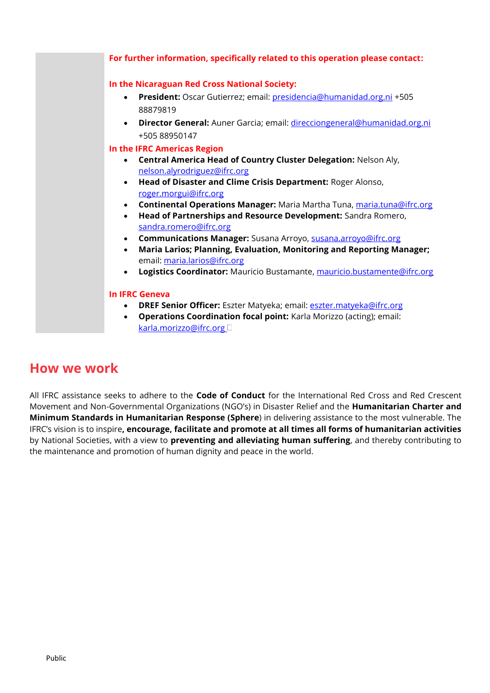

# **How we work**

All IFRC assistance seeks to adhere to the **Code of Conduct** for the International Red Cross and Red Crescent Movement and Non-Governmental Organizations (NGO's) in Disaster Relief and the **Humanitarian Charter and Minimum Standards in Humanitarian Response (Sphere**) in delivering assistance to the most vulnerable. The IFRC's vision is to inspire**, encourage, facilitate and promote at all times all forms of humanitarian activities** by National Societies, with a view to **preventing and alleviating human suffering**, and thereby contributing to the maintenance and promotion of human dignity and peace in the world.